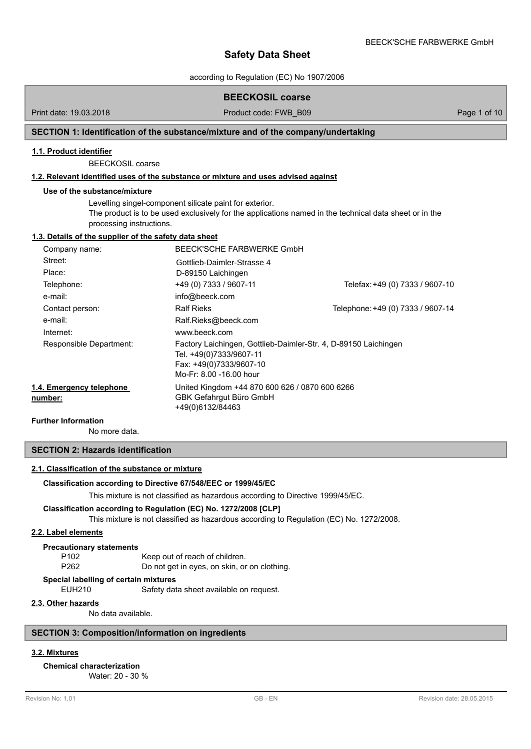according to Regulation (EC) No 1907/2006

## **BEECKOSIL coarse**

Print date: 19.03.2018 **Product code: FWB\_B09** Page 1 of 10

## **SECTION 1: Identification of the substance/mixture and of the company/undertaking**

## **1.1. Product identifier**

BEECKOSIL coarse

## **1.2. Relevant identified uses of the substance or mixture and uses advised against**

## **Use of the substance/mixture**

Levelling singel-component silicate paint for exterior. The product is to be used exclusively for the applications named in the technical data sheet or in the processing instructions.

## **1.3. Details of the supplier of the safety data sheet**

| Company name:                       | BEECK'SCHE FARBWERKE GmbH                                                                                                                        |                                   |
|-------------------------------------|--------------------------------------------------------------------------------------------------------------------------------------------------|-----------------------------------|
| Street:                             | Gottlieb-Daimler-Strasse 4                                                                                                                       |                                   |
| Place:                              | D-89150 Laichingen                                                                                                                               |                                   |
| Telephone:                          | +49 (0) 7333 / 9607-11                                                                                                                           | Telefax: +49 (0) 7333 / 9607-10   |
| e-mail:                             | info@beeck.com                                                                                                                                   |                                   |
| Contact person:                     | <b>Ralf Rieks</b>                                                                                                                                | Telephone: +49 (0) 7333 / 9607-14 |
| e-mail:                             | Ralf.Rieks@beeck.com                                                                                                                             |                                   |
| Internet:                           | www.beeck.com                                                                                                                                    |                                   |
| Responsible Department:             | Factory Laichingen, Gottlieb-Daimler-Str. 4, D-89150 Laichingen<br>Tel. +49(0)7333/9607-11<br>Fax: +49(0)7333/9607-10<br>Mo-Fr: 8.00 -16.00 hour |                                   |
| 1.4. Emergency telephone<br>number: | United Kingdom +44 870 600 626 / 0870 600 6266<br>GBK Gefahrgut Büro GmbH<br>+49(0)6132/84463                                                    |                                   |

#### **Further Information**

No more data.

## **SECTION 2: Hazards identification**

## **2.1. Classification of the substance or mixture**

#### **Classification according to Directive 67/548/EEC or 1999/45/EC**

This mixture is not classified as hazardous according to Directive 1999/45/EC.

#### **Classification according to Regulation (EC) No. 1272/2008 [CLP]**

This mixture is not classified as hazardous according to Regulation (EC) No. 1272/2008.

## **2.2. Label elements**

#### **Precautionary statements**

P102 Keep out of reach of children.

P262 Do not get in eyes, on skin, or on clothing.

#### **Special labelling of certain mixtures**

EUH210 Safety data sheet available on request.

## **2.3. Other hazards**

No data available.

## **SECTION 3: Composition/information on ingredients**

## **3.2. Mixtures**

## **Chemical characterization**

Water: 20 - 30 %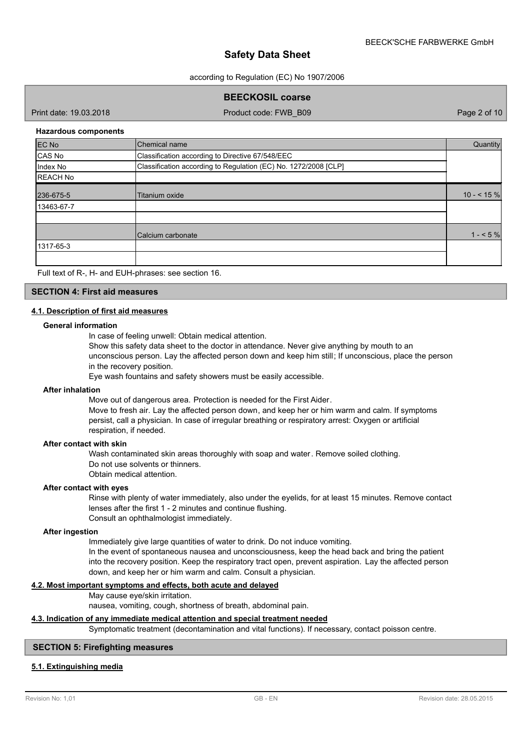according to Regulation (EC) No 1907/2006

**BEECKOSIL coarse** 

Print date: 19.03.2018 Product code: FWB\_B09 Page 2 of 10

#### **Hazardous components**

| <b>EC No</b>    | Chemical name                                                   | Quantity   |
|-----------------|-----------------------------------------------------------------|------------|
| CAS No          | Classification according to Directive 67/548/EEC                |            |
| Index No        | Classification according to Regulation (EC) No. 1272/2008 [CLP] |            |
| <b>REACH No</b> |                                                                 |            |
| 236-675-5       | Titanium oxide                                                  | $10 - 5\%$ |
| 13463-67-7      |                                                                 |            |
|                 |                                                                 |            |
|                 | Calcium carbonate                                               | $1 - 5\%$  |
| 1317-65-3       |                                                                 |            |
|                 |                                                                 |            |

Full text of R-, H- and EUH-phrases: see section 16.

#### **SECTION 4: First aid measures**

## **4.1. Description of first aid measures**

#### **General information**

In case of feeling unwell: Obtain medical attention.

Show this safety data sheet to the doctor in attendance. Never give anything by mouth to an unconscious person. Lay the affected person down and keep him still; If unconscious, place the person in the recovery position.

Eye wash fountains and safety showers must be easily accessible.

## **After inhalation**

Move out of dangerous area. Protection is needed for the First Aider.

Move to fresh air. Lay the affected person down, and keep her or him warm and calm. If symptoms persist, call a physician. In case of irregular breathing or respiratory arrest: Oxygen or artificial respiration, if needed.

#### **After contact with skin**

Wash contaminated skin areas thoroughly with soap and water. Remove soiled clothing. Do not use solvents or thinners. Obtain medical attention.

#### **After contact with eyes**

Rinse with plenty of water immediately, also under the eyelids, for at least 15 minutes. Remove contact lenses after the first 1 - 2 minutes and continue flushing. Consult an ophthalmologist immediately.

#### **After ingestion**

Immediately give large quantities of water to drink. Do not induce vomiting. In the event of spontaneous nausea and unconsciousness, keep the head back and bring the patient into the recovery position. Keep the respiratory tract open, prevent aspiration. Lay the affected person down, and keep her or him warm and calm. Consult a physician.

## **4.2. Most important symptoms and effects, both acute and delayed**

May cause eye/skin irritation.

nausea, vomiting, cough, shortness of breath, abdominal pain.

## **4.3. Indication of any immediate medical attention and special treatment needed**

Symptomatic treatment (decontamination and vital functions). If necessary, contact poisson centre.

#### **SECTION 5: Firefighting measures**

## **5.1. Extinguishing media**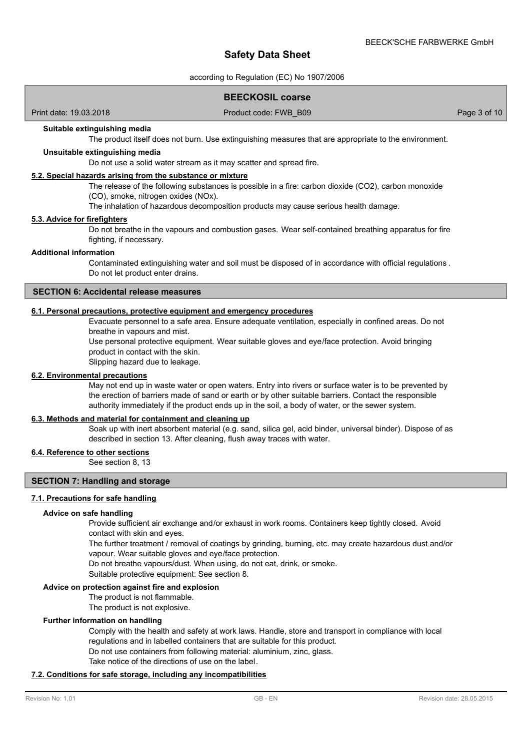according to Regulation (EC) No 1907/2006

## **BEECKOSIL coarse**

Print date: 19.03.2018 Product code: FWB\_B09 Page 3 of 10

## **Suitable extinguishing media**

The product itself does not burn. Use extinguishing measures that are appropriate to the environment.

#### **Unsuitable extinguishing media**

Do not use a solid water stream as it may scatter and spread fire.

#### **5.2. Special hazards arising from the substance or mixture**

The release of the following substances is possible in a fire: carbon dioxide (CO2), carbon monoxide (CO), smoke, nitrogen oxides (NOx).

The inhalation of hazardous decomposition products may cause serious health damage.

#### **5.3. Advice for firefighters**

Do not breathe in the vapours and combustion gases. Wear self-contained breathing apparatus for fire fighting, if necessary.

#### **Additional information**

Contaminated extinguishing water and soil must be disposed of in accordance with official regulations . Do not let product enter drains.

## **SECTION 6: Accidental release measures**

## **6.1. Personal precautions, protective equipment and emergency procedures**

Evacuate personnel to a safe area. Ensure adequate ventilation, especially in confined areas. Do not breathe in vapours and mist.

Use personal protective equipment. Wear suitable gloves and eye/face protection. Avoid bringing product in contact with the skin.

Slipping hazard due to leakage.

#### **6.2. Environmental precautions**

May not end up in waste water or open waters. Entry into rivers or surface water is to be prevented by the erection of barriers made of sand or earth or by other suitable barriers. Contact the responsible authority immediately if the product ends up in the soil, a body of water, or the sewer system.

## **6.3. Methods and material for containment and cleaning up**

Soak up with inert absorbent material (e.g. sand, silica gel, acid binder, universal binder). Dispose of as described in section 13. After cleaning, flush away traces with water.

## **6.4. Reference to other sections**

See section 8, 13

## **SECTION 7: Handling and storage**

#### **7.1. Precautions for safe handling**

#### **Advice on safe handling**

Provide sufficient air exchange and/or exhaust in work rooms. Containers keep tightly closed. Avoid contact with skin and eyes.

The further treatment / removal of coatings by grinding, burning, etc. may create hazardous dust and/or vapour. Wear suitable gloves and eye/face protection.

Do not breathe vapours/dust. When using, do not eat, drink, or smoke.

Suitable protective equipment: See section 8.

#### **Advice on protection against fire and explosion**

The product is not flammable.

The product is not explosive.

#### **Further information on handling**

Comply with the health and safety at work laws. Handle, store and transport in compliance with local regulations and in labelled containers that are suitable for this product. Do not use containers from following material: aluminium, zinc, glass. Take notice of the directions of use on the label.

#### **7.2. Conditions for safe storage, including any incompatibilities**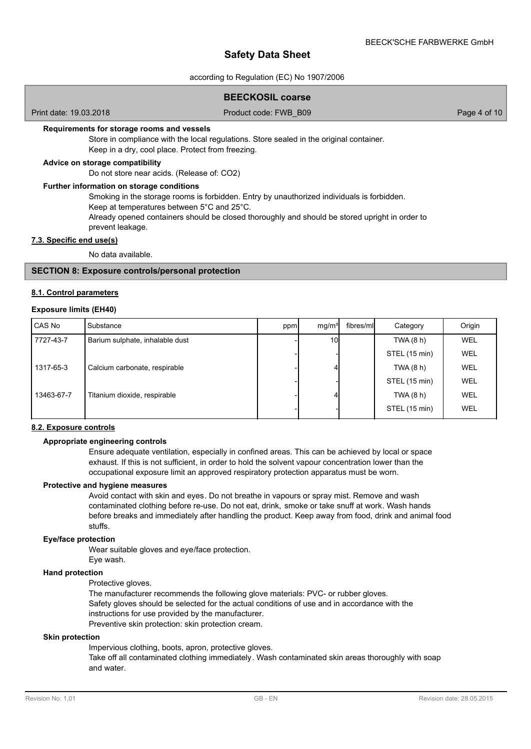according to Regulation (EC) No 1907/2006

## **BEECKOSIL coarse**

Print date: 19.03.2018 Product code: FWB\_B09 Page 4 of 10

#### **Requirements for storage rooms and vessels**

Store in compliance with the local regulations. Store sealed in the original container. Keep in a dry, cool place. Protect from freezing.

## **Advice on storage compatibility**

Do not store near acids. (Release of: CO2)

#### **Further information on storage conditions**

Smoking in the storage rooms is forbidden. Entry by unauthorized individuals is forbidden.

Keep at temperatures between 5°C and 25°C.

Already opened containers should be closed thoroughly and should be stored upright in order to prevent leakage.

#### **7.3. Specific end use(s)**

No data available.

## **SECTION 8: Exposure controls/personal protection**

#### **8.1. Control parameters**

#### **Exposure limits (EH40)**

| l CAS No   | Substance                       | ppm | mq/m <sup>3</sup> | fibres/ml | Category      | Origin     |
|------------|---------------------------------|-----|-------------------|-----------|---------------|------------|
| 7727-43-7  | Barium sulphate, inhalable dust |     | 10I               |           | TWA $(8 h)$   | WEL        |
|            |                                 |     |                   |           | STEL (15 min) | WEL        |
| 1317-65-3  | Calcium carbonate, respirable   |     |                   |           | TWA $(8 h)$   | <b>WEL</b> |
|            |                                 |     |                   |           | STEL (15 min) | WEL        |
| 13463-67-7 | Titanium dioxide, respirable    |     |                   |           | TWA $(8 h)$   | WEL        |
|            |                                 |     |                   |           | STEL (15 min) | WEL        |
|            |                                 |     |                   |           |               |            |

## **8.2. Exposure controls**

## **Appropriate engineering controls**

Ensure adequate ventilation, especially in confined areas. This can be achieved by local or space exhaust. If this is not sufficient, in order to hold the solvent vapour concentration lower than the occupational exposure limit an approved respiratory protection apparatus must be worn.

## **Protective and hygiene measures**

Avoid contact with skin and eyes. Do not breathe in vapours or spray mist. Remove and wash contaminated clothing before re-use. Do not eat, drink, smoke or take snuff at work. Wash hands before breaks and immediately after handling the product. Keep away from food, drink and animal food stuffs.

#### **Eye/face protection**

Wear suitable gloves and eye/face protection.

## **Hand protection**

Protective gloves.

Eye wash.

The manufacturer recommends the following glove materials: PVC- or rubber gloves. Safety gloves should be selected for the actual conditions of use and in accordance with the instructions for use provided by the manufacturer.

Preventive skin protection: skin protection cream.

## **Skin protection**

Impervious clothing, boots, apron, protective gloves.

Take off all contaminated clothing immediately. Wash contaminated skin areas thoroughly with soap and water.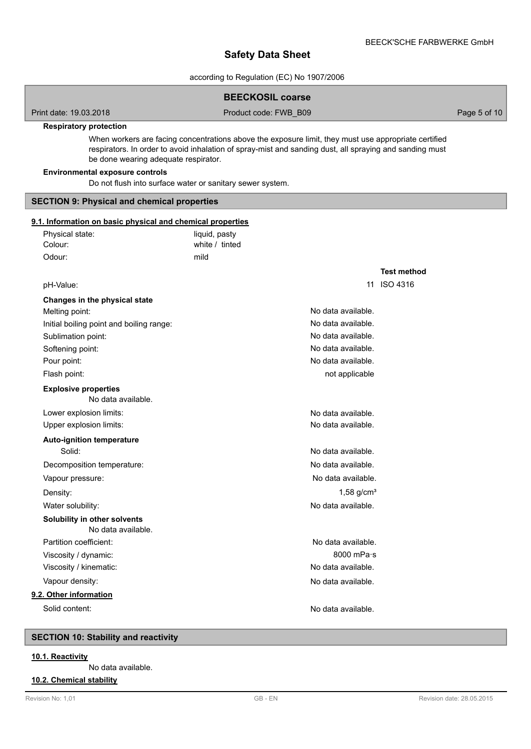according to Regulation (EC) No 1907/2006

|                                                            | <b>BEECKOSIL coarse</b>                                                                                                                                                                                         |                    |              |
|------------------------------------------------------------|-----------------------------------------------------------------------------------------------------------------------------------------------------------------------------------------------------------------|--------------------|--------------|
| Print date: 19.03.2018                                     | Product code: FWB B09                                                                                                                                                                                           |                    | Page 5 of 10 |
| <b>Respiratory protection</b>                              |                                                                                                                                                                                                                 |                    |              |
| be done wearing adequate respirator.                       | When workers are facing concentrations above the exposure limit, they must use appropriate certified<br>respirators. In order to avoid inhalation of spray-mist and sanding dust, all spraying and sanding must |                    |              |
| <b>Environmental exposure controls</b>                     | Do not flush into surface water or sanitary sewer system.                                                                                                                                                       |                    |              |
| <b>SECTION 9: Physical and chemical properties</b>         |                                                                                                                                                                                                                 |                    |              |
| 9.1. Information on basic physical and chemical properties |                                                                                                                                                                                                                 |                    |              |
| Physical state:                                            | liquid, pasty                                                                                                                                                                                                   |                    |              |
| Colour:                                                    | white / tinted                                                                                                                                                                                                  |                    |              |
| Odour:                                                     | mild                                                                                                                                                                                                            |                    |              |
|                                                            |                                                                                                                                                                                                                 | <b>Test method</b> |              |
| pH-Value:                                                  |                                                                                                                                                                                                                 | 11 ISO 4316        |              |
| Changes in the physical state                              |                                                                                                                                                                                                                 |                    |              |
| Melting point:                                             | No data available.                                                                                                                                                                                              |                    |              |
| Initial boiling point and boiling range:                   | No data available.                                                                                                                                                                                              |                    |              |
| Sublimation point:                                         | No data available.                                                                                                                                                                                              |                    |              |
| Softening point:                                           | No data available.                                                                                                                                                                                              |                    |              |
| Pour point:                                                | No data available.                                                                                                                                                                                              |                    |              |
| Flash point:                                               | not applicable                                                                                                                                                                                                  |                    |              |
| <b>Explosive properties</b><br>No data available.          |                                                                                                                                                                                                                 |                    |              |
| Lower explosion limits:                                    | No data available.                                                                                                                                                                                              |                    |              |
| Upper explosion limits:                                    | No data available.                                                                                                                                                                                              |                    |              |
| <b>Auto-ignition temperature</b>                           |                                                                                                                                                                                                                 |                    |              |
| Solid:                                                     | No data available.                                                                                                                                                                                              |                    |              |
| Decomposition temperature:                                 | No data available.                                                                                                                                                                                              |                    |              |
| Vapour pressure:                                           | No data available.                                                                                                                                                                                              |                    |              |
| Density:                                                   | $1,58$ g/cm <sup>3</sup>                                                                                                                                                                                        |                    |              |
| Water solubility:                                          | No data available.                                                                                                                                                                                              |                    |              |
| Solubility in other solvents<br>No data available.         |                                                                                                                                                                                                                 |                    |              |
| Partition coefficient:                                     | No data available.                                                                                                                                                                                              |                    |              |
| Viscosity / dynamic:                                       | 8000 mPa·s                                                                                                                                                                                                      |                    |              |
| Viscosity / kinematic:                                     | No data available.                                                                                                                                                                                              |                    |              |
| Vapour density:                                            | No data available.                                                                                                                                                                                              |                    |              |
| 9.2. Other information                                     |                                                                                                                                                                                                                 |                    |              |
| Solid content:                                             | No data available.                                                                                                                                                                                              |                    |              |
|                                                            |                                                                                                                                                                                                                 |                    |              |
| <b>SECTION 10: Stability and reactivity</b>                |                                                                                                                                                                                                                 |                    |              |
| 10.1. Reactivity                                           |                                                                                                                                                                                                                 |                    |              |

## No data available.

## **10.2. Chemical stability**

Г

Γ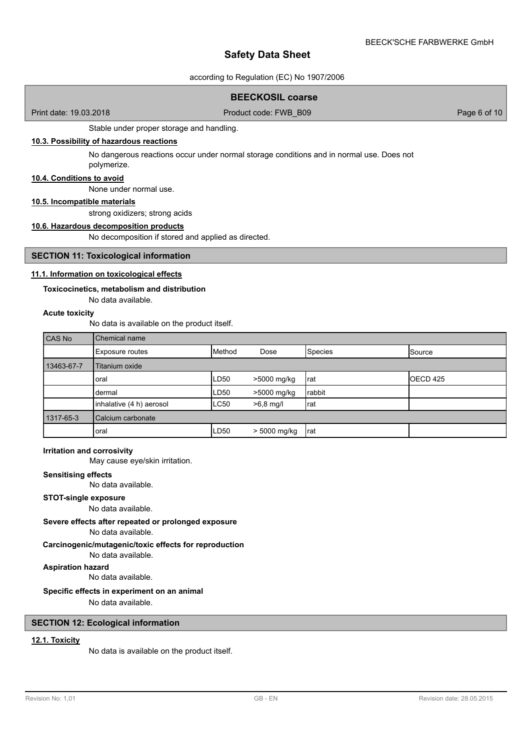according to Regulation (EC) No 1907/2006

## **BEECKOSIL coarse**

Print date: 19.03.2018 **Product code: FWB\_B09** Page 6 of 10

Stable under proper storage and handling.

## **10.3. Possibility of hazardous reactions**

No dangerous reactions occur under normal storage conditions and in normal use. Does not polymerize.

## **10.4. Conditions to avoid**

None under normal use.

#### **10.5. Incompatible materials**

strong oxidizers; strong acids

## **10.6. Hazardous decomposition products**

No decomposition if stored and applied as directed.

## **SECTION 11: Toxicological information**

## **11.1. Information on toxicological effects**

#### **Toxicocinetics, metabolism and distribution**

No data available.

## **Acute toxicity**

No data is available on the product itself.

| CAS No     | Chemical name            |             |              |                |          |
|------------|--------------------------|-------------|--------------|----------------|----------|
|            | Exposure routes          | Method      | Dose         | <b>Species</b> | Source   |
| 13463-67-7 | Titanium oxide           |             |              |                |          |
|            | oral                     | LD50        | >5000 mg/kg  | Irat           | OECD 425 |
|            | dermal                   | LD50        | >5000 mg/kg  | rabbit         |          |
|            | inhalative (4 h) aerosol | <b>LC50</b> | $>6.8$ mg/l  | Irat           |          |
| 1317-65-3  | Calcium carbonate        |             |              |                |          |
|            | oral                     | LD50        | > 5000 mg/kg | Irat           |          |

#### **Irritation and corrosivity**

May cause eye/skin irritation.

#### **Sensitising effects**

No data available.

## **STOT-single exposure**

No data available.

## **Severe effects after repeated or prolonged exposure**

No data available.

## **Carcinogenic/mutagenic/toxic effects for reproduction**

No data available.

## **Aspiration hazard**

No data available.

## **Specific effects in experiment on an animal**

No data available.

## **SECTION 12: Ecological information**

## **12.1. Toxicity**

No data is available on the product itself.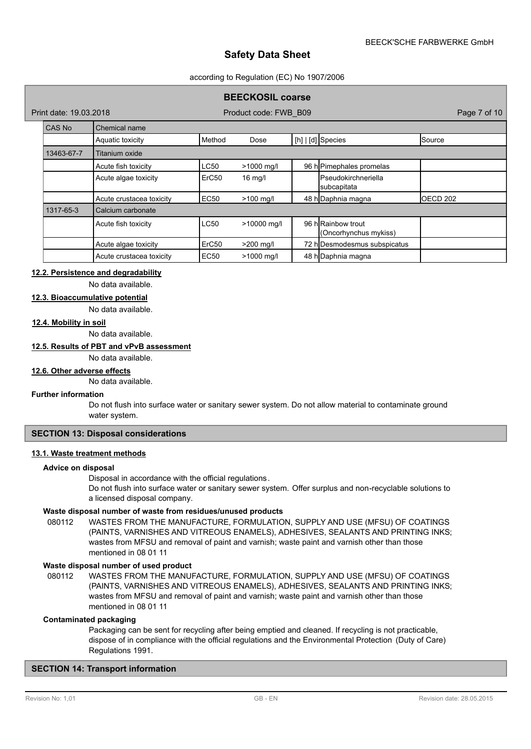#### according to Regulation (EC) No 1907/2006

## **BEECKOSIL coarse**

Print date: 19.03.2018 Product code: FWB\_B09 Page 7 of 10

| CAS No     | Chemical name            |                   |             |  |                                             |          |  |
|------------|--------------------------|-------------------|-------------|--|---------------------------------------------|----------|--|
|            | Aquatic toxicity         | Method            | Dose        |  | [h] $\vert$ [d] Species                     | Source   |  |
| 13463-67-7 | Titanium oxide           |                   |             |  |                                             |          |  |
|            | Acute fish toxicity      | <b>LC50</b>       | >1000 mg/l  |  | 96 h Pimephales promelas                    |          |  |
|            | Acute algae toxicity     | ErC <sub>50</sub> | $16$ mg/l   |  | <b>I</b> Pseudokirchneriella<br>subcapitata |          |  |
|            | Acute crustacea toxicity | EC50              | $>100$ mg/l |  | 48 h Daphnia magna                          | OECD 202 |  |
| 1317-65-3  | Calcium carbonate        |                   |             |  |                                             |          |  |
|            | Acute fish toxicity      | <b>LC50</b>       | >10000 mg/l |  | 96 hlRainbow trout<br>(Oncorhynchus mykiss) |          |  |
|            | Acute algae toxicity     | ErC <sub>50</sub> | $>200$ mg/l |  | 72 h Desmodesmus subspicatus                |          |  |
|            | Acute crustacea toxicity | <b>EC50</b>       | >1000 mg/l  |  | 48 h Daphnia magna                          |          |  |

#### **12.2. Persistence and degradability**

No data available.

## **12.3. Bioaccumulative potential**

No data available.

## **12.4. Mobility in soil**

No data available.

## **12.5. Results of PBT and vPvB assessment**

No data available.

## **12.6. Other adverse effects**

No data available.

#### **Further information**

Do not flush into surface water or sanitary sewer system. Do not allow material to contaminate ground water system.

## **SECTION 13: Disposal considerations**

## **13.1. Waste treatment methods**

## **Advice on disposal**

Disposal in accordance with the official regulations.

Do not flush into surface water or sanitary sewer system. Offer surplus and non-recyclable solutions to a licensed disposal company.

#### **Waste disposal number of waste from residues/unused products**

080112 WASTES FROM THE MANUFACTURE, FORMULATION, SUPPLY AND USE (MFSU) OF COATINGS (PAINTS, VARNISHES AND VITREOUS ENAMELS), ADHESIVES, SEALANTS AND PRINTING INKS; wastes from MFSU and removal of paint and varnish; waste paint and varnish other than those mentioned in 08 01 11

## **Waste disposal number of used product**

WASTES FROM THE MANUFACTURE, FORMULATION, SUPPLY AND USE (MFSU) OF COATINGS (PAINTS, VARNISHES AND VITREOUS ENAMELS), ADHESIVES, SEALANTS AND PRINTING INKS; wastes from MFSU and removal of paint and varnish; waste paint and varnish other than those mentioned in 08 01 11 080112

#### **Contaminated packaging**

Packaging can be sent for recycling after being emptied and cleaned. If recycling is not practicable, dispose of in compliance with the official regulations and the Environmental Protection (Duty of Care) Regulations 1991.

## **SECTION 14: Transport information**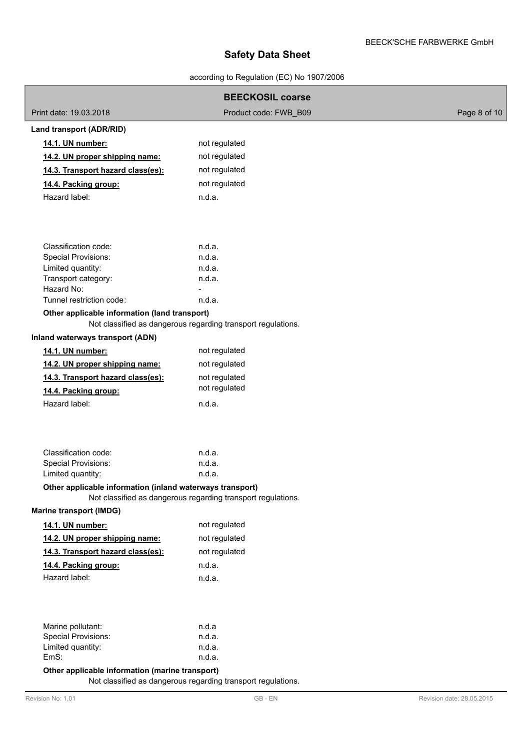## according to Regulation (EC) No 1907/2006

|                                                           | <b>BEECKOSIL coarse</b>                                      |                           |
|-----------------------------------------------------------|--------------------------------------------------------------|---------------------------|
| Print date: 19.03.2018                                    | Product code: FWB B09                                        | Page 8 of 10              |
| Land transport (ADR/RID)                                  |                                                              |                           |
| 14.1. UN number:                                          | not regulated                                                |                           |
| 14.2. UN proper shipping name:                            | not regulated                                                |                           |
| 14.3. Transport hazard class(es):                         | not regulated                                                |                           |
| 14.4. Packing group:                                      | not regulated                                                |                           |
| Hazard label:                                             | n.d.a.                                                       |                           |
|                                                           |                                                              |                           |
| Classification code:                                      | n.d.a.                                                       |                           |
| <b>Special Provisions:</b>                                | n.d.a.                                                       |                           |
| Limited quantity:                                         | n.d.a.                                                       |                           |
| Transport category:<br>Hazard No:                         | n.d.a.                                                       |                           |
| Tunnel restriction code:                                  | n.d.a.                                                       |                           |
| Other applicable information (land transport)             | Not classified as dangerous regarding transport regulations. |                           |
| Inland waterways transport (ADN)                          |                                                              |                           |
| 14.1. UN number:                                          | not regulated                                                |                           |
| 14.2. UN proper shipping name:                            | not regulated                                                |                           |
| 14.3. Transport hazard class(es):                         | not regulated                                                |                           |
| 14.4. Packing group:                                      | not regulated                                                |                           |
| Hazard label:                                             | n.d.a.                                                       |                           |
|                                                           |                                                              |                           |
| Classification code:                                      | n.d.a.                                                       |                           |
| <b>Special Provisions:</b>                                | n.d.a.                                                       |                           |
| Limited quantity:                                         | n.d.a.                                                       |                           |
| Other applicable information (inland waterways transport) | Not classified as dangerous regarding transport regulations. |                           |
| <b>Marine transport (IMDG)</b>                            |                                                              |                           |
| 14.1. UN number:                                          | not regulated                                                |                           |
| 14.2. UN proper shipping name:                            | not regulated                                                |                           |
| 14.3. Transport hazard class(es):                         | not regulated                                                |                           |
| 14.4. Packing group:                                      | n.d.a.                                                       |                           |
| Hazard label:                                             | n.d.a.                                                       |                           |
|                                                           |                                                              |                           |
| Marine pollutant:                                         | n.d.a                                                        |                           |
| Special Provisions:                                       | n.d.a.                                                       |                           |
| Limited quantity:                                         | n.d.a.                                                       |                           |
| EmS:                                                      | n.d.a.                                                       |                           |
| Other applicable information (marine transport)           | Not classified as dangerous regarding transport regulations. |                           |
| Revision No: 1,01                                         | $\mathsf{GB}$ - $\mathsf{EN}$                                | Revision date: 28.05.2015 |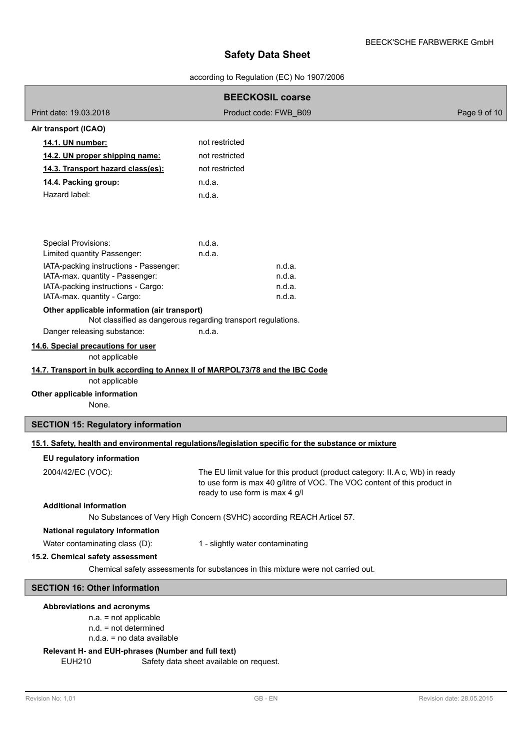according to Regulation (EC) No 1907/2006

| <b>BEECKOSIL coarse</b>                                                       |                                                                                                                                                                                           |              |  |  |  |  |
|-------------------------------------------------------------------------------|-------------------------------------------------------------------------------------------------------------------------------------------------------------------------------------------|--------------|--|--|--|--|
| Print date: 19.03.2018                                                        | Product code: FWB B09                                                                                                                                                                     | Page 9 of 10 |  |  |  |  |
| Air transport (ICAO)                                                          |                                                                                                                                                                                           |              |  |  |  |  |
| 14.1. UN number:                                                              | not restricted                                                                                                                                                                            |              |  |  |  |  |
| 14.2. UN proper shipping name:                                                | not restricted                                                                                                                                                                            |              |  |  |  |  |
| 14.3. Transport hazard class(es):                                             | not restricted                                                                                                                                                                            |              |  |  |  |  |
| 14.4. Packing group:                                                          | n.d.a.                                                                                                                                                                                    |              |  |  |  |  |
| Hazard label:                                                                 | n.d.a.                                                                                                                                                                                    |              |  |  |  |  |
| Special Provisions:<br>Limited quantity Passenger:                            | n.d.a.<br>n.d.a.                                                                                                                                                                          |              |  |  |  |  |
| IATA-packing instructions - Passenger:                                        | n.d.a.                                                                                                                                                                                    |              |  |  |  |  |
| IATA-max. quantity - Passenger:                                               | n.d.a.                                                                                                                                                                                    |              |  |  |  |  |
| IATA-packing instructions - Cargo:                                            | n.d.a.<br>n.d.a.                                                                                                                                                                          |              |  |  |  |  |
| IATA-max. quantity - Cargo:<br>Other applicable information (air transport)   |                                                                                                                                                                                           |              |  |  |  |  |
|                                                                               | Not classified as dangerous regarding transport regulations.                                                                                                                              |              |  |  |  |  |
| Danger releasing substance:                                                   | n.d.a.                                                                                                                                                                                    |              |  |  |  |  |
| 14.6. Special precautions for user<br>not applicable                          |                                                                                                                                                                                           |              |  |  |  |  |
| 14.7. Transport in bulk according to Annex II of MARPOL73/78 and the IBC Code |                                                                                                                                                                                           |              |  |  |  |  |
| not applicable                                                                |                                                                                                                                                                                           |              |  |  |  |  |
| Other applicable information                                                  |                                                                                                                                                                                           |              |  |  |  |  |
| None.                                                                         |                                                                                                                                                                                           |              |  |  |  |  |
| <b>SECTION 15: Regulatory information</b>                                     |                                                                                                                                                                                           |              |  |  |  |  |
|                                                                               | 15.1. Safety, health and environmental regulations/legislation specific for the substance or mixture                                                                                      |              |  |  |  |  |
| EU regulatory information                                                     |                                                                                                                                                                                           |              |  |  |  |  |
| 2004/42/EC (VOC):                                                             | The EU limit value for this product (product category: II.A c, Wb) in ready<br>to use form is max 40 g/litre of VOC. The VOC content of this product in<br>ready to use form is max 4 g/l |              |  |  |  |  |
| <b>Additional information</b>                                                 |                                                                                                                                                                                           |              |  |  |  |  |
|                                                                               | No Substances of Very High Concern (SVHC) according REACH Articel 57.                                                                                                                     |              |  |  |  |  |
| National regulatory information                                               |                                                                                                                                                                                           |              |  |  |  |  |
| Water contaminating class (D):                                                | 1 - slightly water contaminating                                                                                                                                                          |              |  |  |  |  |
| 15.2. Chemical safety assessment                                              |                                                                                                                                                                                           |              |  |  |  |  |
|                                                                               | Chemical safety assessments for substances in this mixture were not carried out.                                                                                                          |              |  |  |  |  |
| <b>SECTION 16: Other information</b>                                          |                                                                                                                                                                                           |              |  |  |  |  |
| Abbreviations and acronyms                                                    |                                                                                                                                                                                           |              |  |  |  |  |
| $n.a. = not applicable$<br>$n.d. = not determined$                            |                                                                                                                                                                                           |              |  |  |  |  |

n.d.a. = no data available

# **Relevant H- and EUH-phrases (Number and full text)**

Safety data sheet available on request.